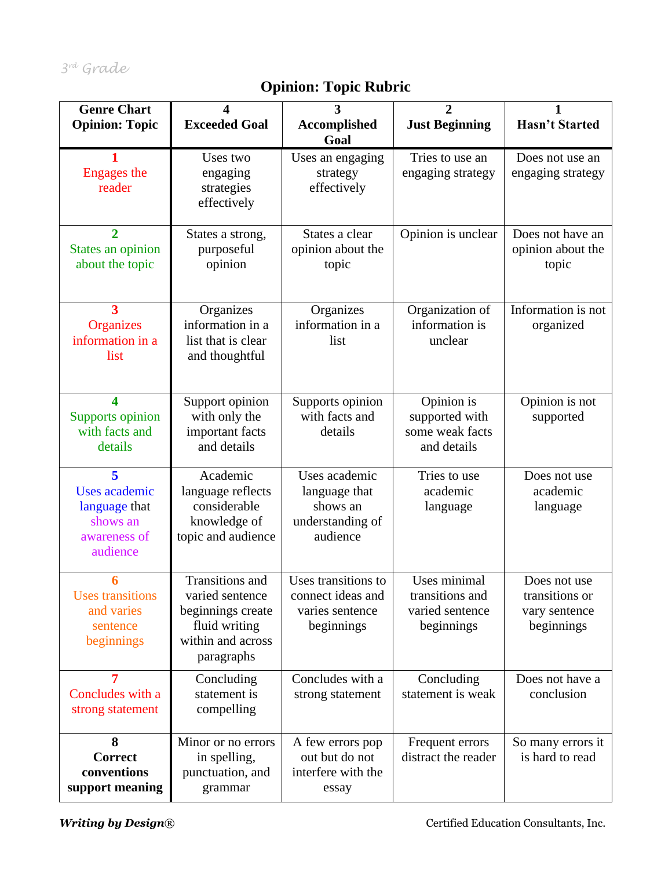# **Opinion: Topic Rubric**

| <b>Genre Chart</b><br><b>Opinion: Topic</b>                                        | 4<br><b>Exceeded Goal</b>                                                                                   | 3<br><b>Accomplished</b><br>Goal                                           | $\overline{2}$<br><b>Just Beginning</b>                          | 1<br><b>Hasn't Started</b>                                    |
|------------------------------------------------------------------------------------|-------------------------------------------------------------------------------------------------------------|----------------------------------------------------------------------------|------------------------------------------------------------------|---------------------------------------------------------------|
| 1<br><b>Engages</b> the<br>reader                                                  | Uses two<br>engaging<br>strategies<br>effectively                                                           | Uses an engaging<br>strategy<br>effectively                                | Tries to use an<br>engaging strategy                             | Does not use an<br>engaging strategy                          |
| $\overline{2}$<br>States an opinion<br>about the topic                             | States a strong,<br>purposeful<br>opinion                                                                   | States a clear<br>opinion about the<br>topic                               | Opinion is unclear                                               | Does not have an<br>opinion about the<br>topic                |
| 3<br><b>Organizes</b><br>information in a<br>list                                  | Organizes<br>information in a<br>list that is clear<br>and thoughtful                                       | Organizes<br>information in a<br>list                                      | Organization of<br>information is<br>unclear                     | Information is not<br>organized                               |
| 4<br>Supports opinion<br>with facts and<br>details                                 | Support opinion<br>with only the<br>important facts<br>and details                                          | Supports opinion<br>with facts and<br>details                              | Opinion is<br>supported with<br>some weak facts<br>and details   | Opinion is not<br>supported                                   |
| 5<br><b>Uses academic</b><br>language that<br>shows an<br>awareness of<br>audience | Academic<br>language reflects<br>considerable<br>knowledge of<br>topic and audience                         | Uses academic<br>language that<br>shows an<br>understanding of<br>audience | Tries to use<br>academic<br>language                             | Does not use<br>academic<br>language                          |
| 6<br><b>Uses transitions</b><br>and varies<br>sentence<br>beginnings               | Transitions and<br>varied sentence<br>beginnings create<br>fluid writing<br>within and across<br>paragraphs | Uses transitions to<br>connect ideas and<br>varies sentence<br>beginnings  | Uses minimal<br>transitions and<br>varied sentence<br>beginnings | Does not use<br>transitions or<br>vary sentence<br>beginnings |
| 7<br>Concludes with a<br>strong statement                                          | Concluding<br>statement is<br>compelling                                                                    | Concludes with a<br>strong statement                                       | Concluding<br>statement is weak                                  | Does not have a<br>conclusion                                 |
| 8<br><b>Correct</b><br>conventions<br>support meaning                              | Minor or no errors<br>in spelling,<br>punctuation, and<br>grammar                                           | A few errors pop<br>out but do not<br>interfere with the<br>essay          | Frequent errors<br>distract the reader                           | So many errors it<br>is hard to read                          |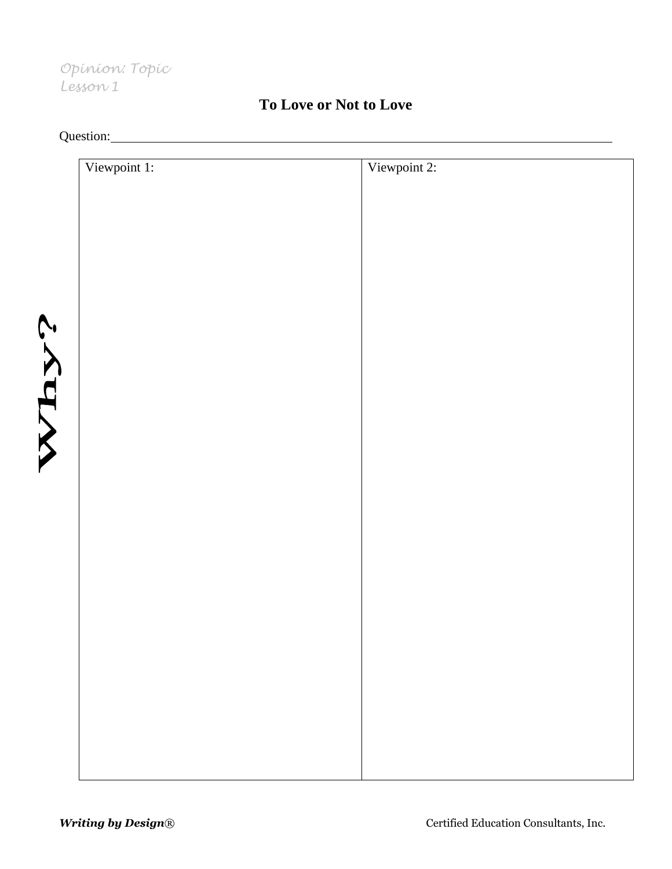### *Opinion: Topic Lesson 1*

### **To Love or Not to Love**

| Question: |
|-----------|

VVny?

| Viewpoint 1: | Viewpoint 2: |
|--------------|--------------|
|              |              |
|              |              |
|              |              |
|              |              |
|              |              |
|              |              |
|              |              |
|              |              |
|              |              |
|              |              |
|              |              |
|              |              |
|              |              |
|              |              |
|              |              |
|              |              |
|              |              |
|              |              |
|              |              |
|              |              |
|              |              |
|              |              |
|              |              |
|              |              |
|              |              |
|              |              |
|              |              |
|              |              |
|              |              |
|              |              |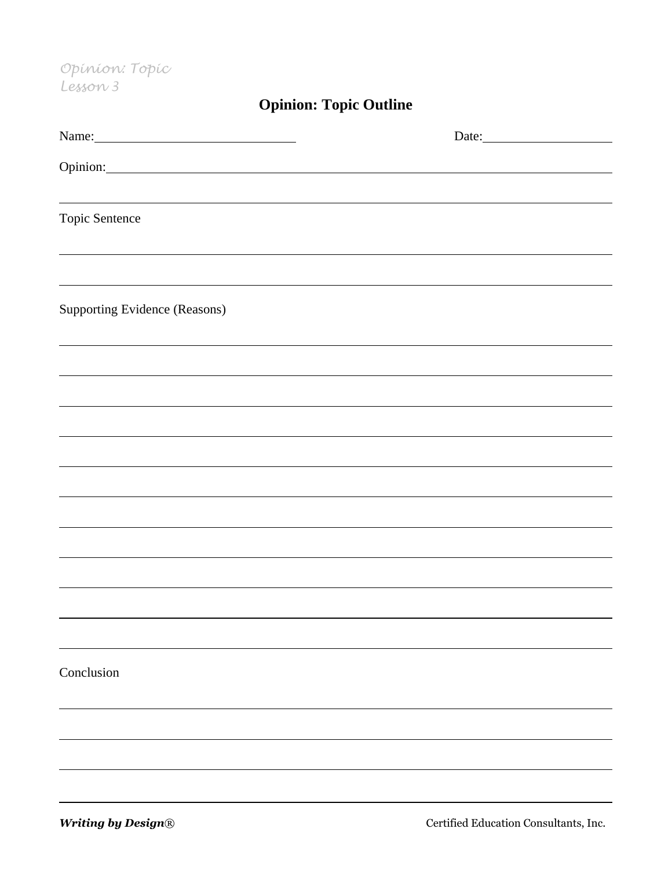*Opinion: Topic Lesson 3*

# **Opinion: Topic Outline**

| Name: Name and the state of the state of the state of the state of the state of the state of the state of the state of the state of the state of the state of the state of the state of the state of the state of the state of | Date: |
|--------------------------------------------------------------------------------------------------------------------------------------------------------------------------------------------------------------------------------|-------|
|                                                                                                                                                                                                                                |       |
| Topic Sentence                                                                                                                                                                                                                 |       |
| <b>Supporting Evidence (Reasons)</b>                                                                                                                                                                                           |       |
|                                                                                                                                                                                                                                |       |
|                                                                                                                                                                                                                                |       |
|                                                                                                                                                                                                                                |       |
|                                                                                                                                                                                                                                |       |
|                                                                                                                                                                                                                                |       |
|                                                                                                                                                                                                                                |       |
|                                                                                                                                                                                                                                |       |
| Conclusion                                                                                                                                                                                                                     |       |
|                                                                                                                                                                                                                                |       |
|                                                                                                                                                                                                                                |       |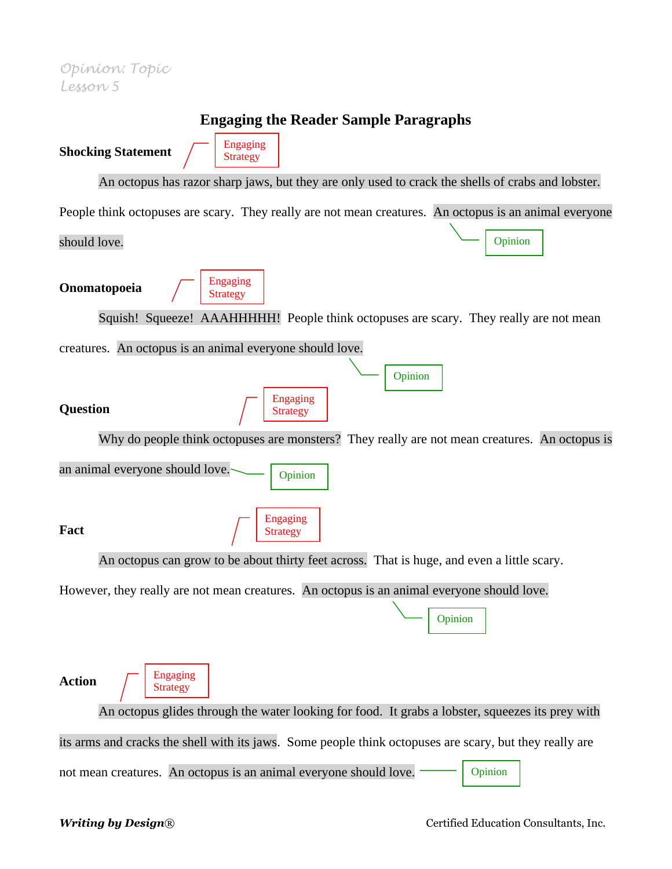### **Engaging the Reader Sample Paragraphs**

**Shocking Statement** An octopus has razor sharp jaws, but they are only used to crack the shells of crabs and lobster. People think octopuses are scary. They really are not mean creatures. An octopus is an animal everyone should love. **Onomatopoeia** Squish! Squeeze! AAAHHHHH! People think octopuses are scary. They really are not mean creatures. An octopus is an animal everyone should love. **Question** Why do people think octopuses are monsters? They really are not mean creatures. An octopus is an animal everyone should love. **Fact** An octopus can grow to be about thirty feet across. That is huge, and even a little scary. However, they really are not mean creatures. An octopus is an animal everyone should love. **Action** An octopus glides through the water looking for food. It grabs a lobster, squeezes its prey with its arms and cracks the shell with its jaws. Some people think octopuses are scary, but they really are not mean creatures. An octopus is an animal everyone should love. Engaging **Strategy** Opinion Engaging **Strategy** Engaging Strategy Engaging **Strategy** Engaging Strategy Opinion Opinion Opinion **Opinion**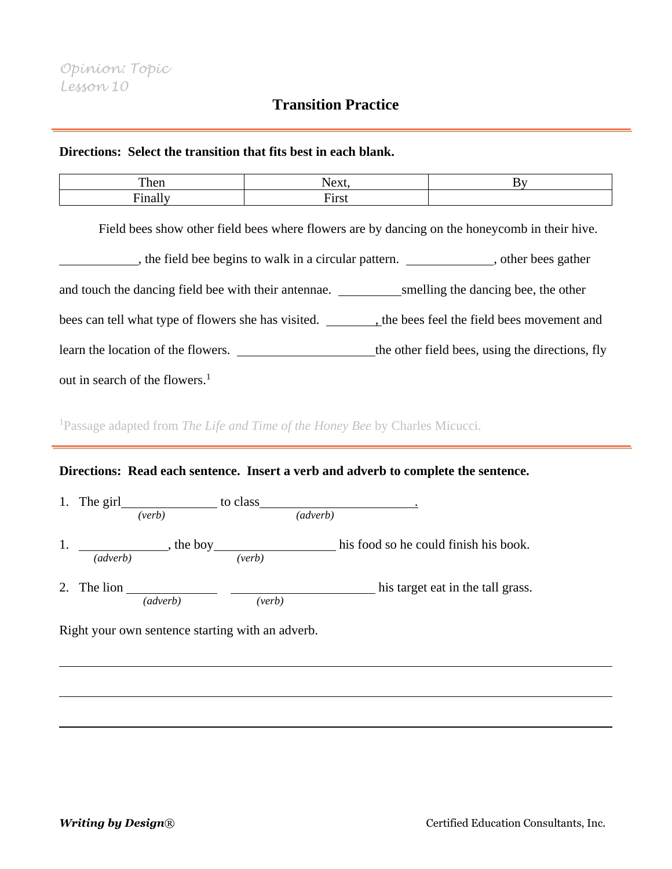#### **Directions: Select the transition that fits best in each blank.**

| <u>ти</u><br>$\sim$<br>----- | $\sim$ $\sim$            |  |
|------------------------------|--------------------------|--|
| –                            | $\overline{\phantom{a}}$ |  |

Field bees show other field bees where flowers are by dancing on the honeycomb in their hive. , the field bee begins to walk in a circular pattern. , there bees gather and touch the dancing field bee with their antennae. smelling the dancing bee, the other bees can tell what type of flowers she has visited. 
shifted. 
i.e. the bees feel the field bees movement and learn the location of the flowers. \_\_\_\_\_\_\_\_\_\_\_\_\_\_\_\_\_\_\_\_\_\_\_\_the other field bees, using the directions, fly out in search of the flowers.<sup>1</sup>

<sup>1</sup>Passage adapted from *The Life and Time of the Honey Bee* by Charles Micucci.

#### **Directions: Read each sentence. Insert a verb and adverb to complete the sentence.**

| 1. | The girl |          | to class |                                       |
|----|----------|----------|----------|---------------------------------------|
|    |          | (verb)   |          | (adverb)                              |
| 1. | (adverb) | the boy  | (verb)   | his food so he could finish his book. |
| 2. | The lion | (adverb) | (verb)   | his target eat in the tall grass.     |

Right your own sentence starting with an adverb.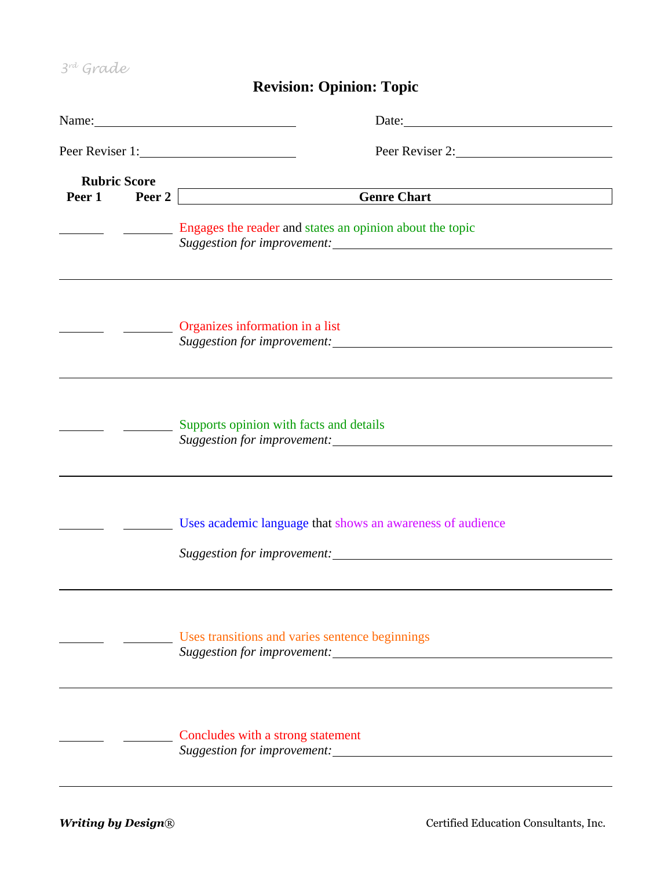*3 rd Grade* 

# **Revision: Opinion: Topic**

| <b>Rubric Score</b> | Genre Chart <u>Charles Charles Communication</u><br>Peer 1 Peer 2 |
|---------------------|-------------------------------------------------------------------|
|                     | Engages the reader and states an opinion about the topic          |
|                     | Organizes information in a list                                   |
|                     | Supports opinion with facts and details                           |
|                     | Uses academic language that shows an awareness of audience        |
|                     | Uses transitions and varies sentence beginnings                   |
|                     | Concludes with a strong statement                                 |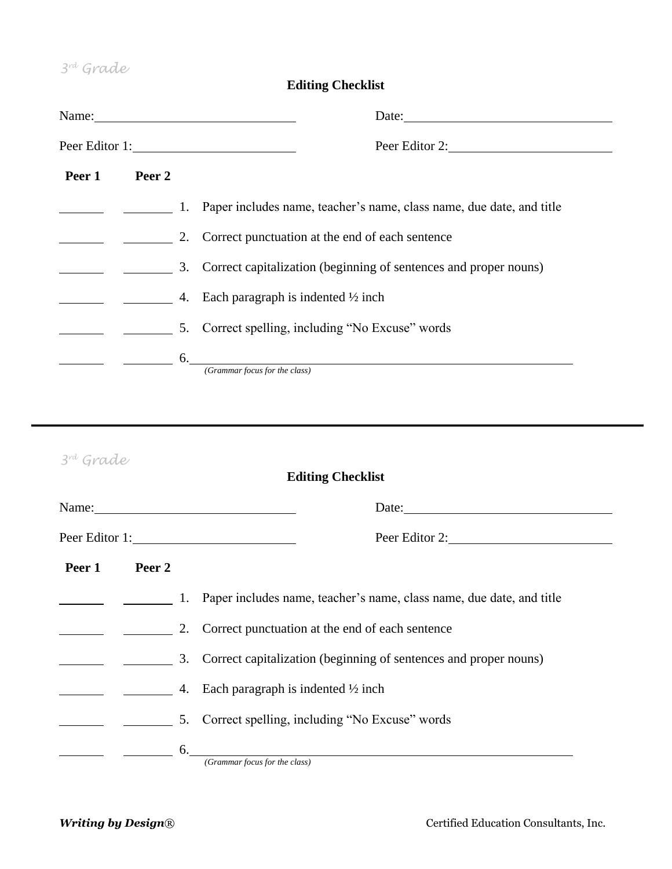*3 rd Grade*

**Editing Checklist**

|        |        | Name: 2008. [2010] Name: 2010. [2010] 2010. [2010] 2010. [2010] 2011. [2010] 2011. [2010] 2011. [2010] 2011. [2010] 2011. [2010] 2011. [2010] 2011. [2010] 2011. [2010] 2011. [2010] 2011. [2010] 2011. [2010] 2011. [2010] 20<br>Date: |
|--------|--------|-----------------------------------------------------------------------------------------------------------------------------------------------------------------------------------------------------------------------------------------|
|        |        | Peer Editor 2:<br>Peer Editor 1:                                                                                                                                                                                                        |
| Peer 1 | Peer 2 |                                                                                                                                                                                                                                         |
|        |        | 1. Paper includes name, teacher's name, class name, due date, and title                                                                                                                                                                 |
|        |        | 2. Correct punctuation at the end of each sentence                                                                                                                                                                                      |
|        |        | 3. Correct capitalization (beginning of sentences and proper nouns)                                                                                                                                                                     |
|        |        | 4. Each paragraph is indented $\frac{1}{2}$ inch                                                                                                                                                                                        |
|        |        | 5. Correct spelling, including "No Excuse" words                                                                                                                                                                                        |
|        |        | $\sim$ 6.<br>(Grammar focus for the class)                                                                                                                                                                                              |

### *3 rd Grade*

| s'" Graae |        | <b>Editing Checklist</b>                                                |
|-----------|--------|-------------------------------------------------------------------------|
|           |        | Date:                                                                   |
|           |        | Peer Editor 1:                                                          |
| Peer 1    | Peer 2 |                                                                         |
|           |        | 1. Paper includes name, teacher's name, class name, due date, and title |
|           |        | 2. Correct punctuation at the end of each sentence                      |
|           |        | 3. Correct capitalization (beginning of sentences and proper nouns)     |
|           |        | 4. Each paragraph is indented $\frac{1}{2}$ inch                        |
|           |        | 5. Correct spelling, including "No Excuse" words                        |
|           |        |                                                                         |

*(Grammar focus for the class)*